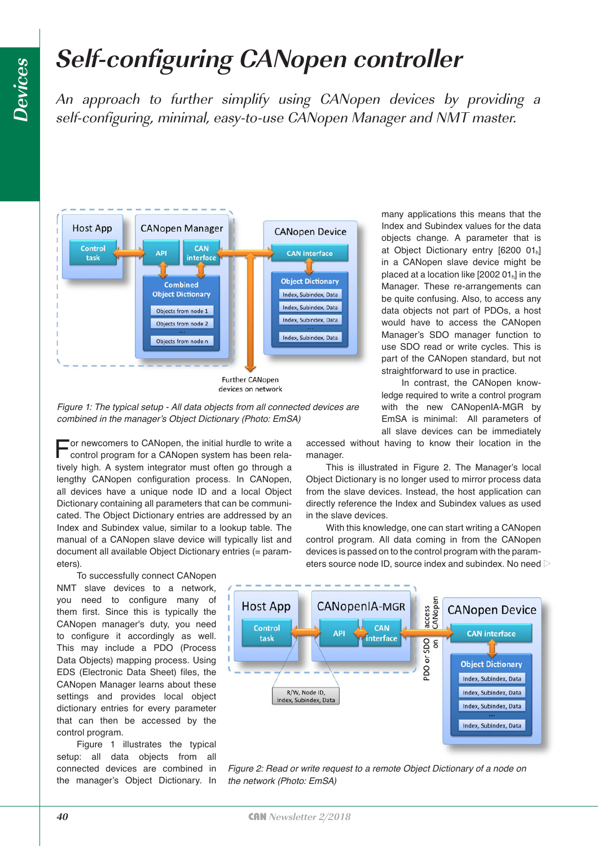## **Self-configuring CANopen controller**

An approach to further simplify using CANopen devices by providing a self-configuring, minimal, easy-to-use CANopen Manager and NMT master.



**Further CANopen** devices on network



For newcomers to CANopen, the initial hurdle to write a control program for a CANopen system has been relatively high. A system integrator must often go through a lengthy CANopen configuration process. In CANopen, all devices have a unique node ID and a local Object Dictionary containing all parameters that can be communicated. The Object Dictionary entries are addressed by an Index and Subindex value, similar to a lookup table. The manual of a CANopen slave device will typically list and document all available Object Dictionary entries (= parameters).

To successfully connect CANopen NMT slave devices to a network, you need to configure many of them first. Since this is typically the CANopen manager's duty, you need to configure it accordingly as well. This may include a PDO (Process Data Objects) mapping process. Using EDS (Electronic Data Sheet) files, the CANopen Manager learns about these settings and provides local object dictionary entries for every parameter that can then be accessed by the control program.

Figure 1 illustrates the typical setup: all data objects from all connected devices are combined in the manager's Object Dictionary. In

many applications this means that the Index and Subindex values for the data objects change. A parameter that is at Object Dictionary entry [6200 01h] in a CANopen slave device might be placed at a location like  $[200201_h]$  in the Manager. These re-arrangements can be quite confusing. Also, to access any data objects not part of PDOs, a host would have to access the CANopen Manager's SDO manager function to use SDO read or write cycles. This is part of the CANopen standard, but not straightforward to use in practice.

In contrast, the CANopen knowledge required to write a control program with the new CANopenIA-MGR by EmSA is minimal: All parameters of all slave devices can be immediately

accessed without having to know their location in the manager.

This is illustrated in Figure 2. The Manager's local Object Dictionary is no longer used to mirror process data from the slave devices. Instead, the host application can directly reference the Index and Subindex values as used in the slave devices.

With this knowledge, one can start writing a CANopen control program. All data coming in from the CANopen devices is passed on to the control program with the parameters source node ID, source index and subindex. No need



*Figure 2: Read or write request to a remote Object Dictionary of a node on the network (Photo: EmSA)*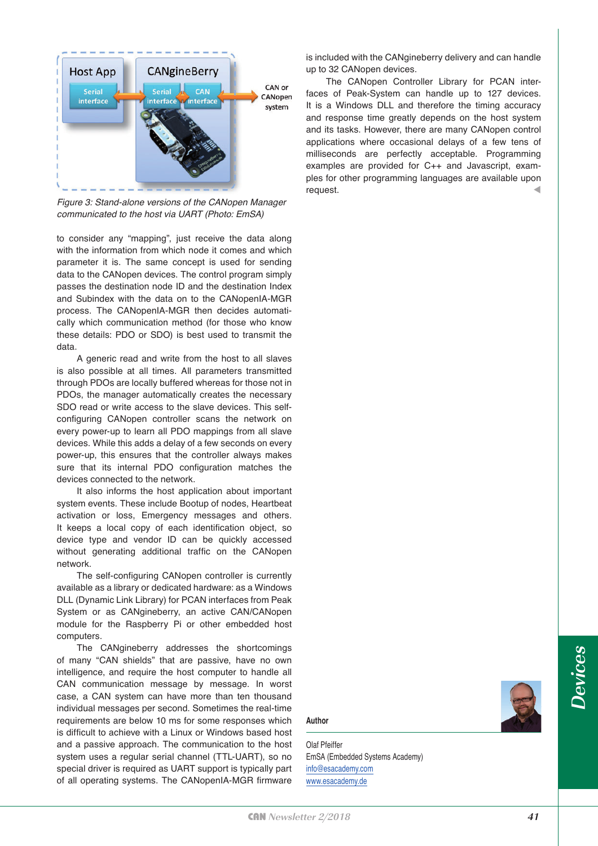

*Figure 3: Stand-alone versions of the CANopen Manager communicated to the host via UART (Photo: EmSA)*

to consider any "mapping", just receive the data along with the information from which node it comes and which parameter it is. The same concept is used for sending data to the CANopen devices. The control program simply passes the destination node ID and the destination Index and Subindex with the data on to the CANopenIA-MGR process. The CANopenIA-MGR then decides automatically which communication method (for those who know these details: PDO or SDO) is best used to transmit the data.

A generic read and write from the host to all slaves is also possible at all times. All parameters transmitted through PDOs are locally buffered whereas for those not in PDOs, the manager automatically creates the necessary SDO read or write access to the slave devices. This selfconfiguring CANopen controller scans the network on every power-up to learn all PDO mappings from all slave devices. While this adds a delay of a few seconds on every power-up, this ensures that the controller always makes sure that its internal PDO configuration matches the devices connected to the network.

It also informs the host application about important system events. These include Bootup of nodes, Heartbeat activation or loss, Emergency messages and others. It keeps a local copy of each identification object, so device type and vendor ID can be quickly accessed without generating additional traffic on the CANopen network.

The self-configuring CANopen controller is currently available as a library or dedicated hardware: as a Windows DLL (Dynamic Link Library) for PCAN interfaces from Peak System or as CANgineberry, an active CAN/CANopen module for the Raspberry Pi or other embedded host computers.

The CANgineberry addresses the shortcomings of many "CAN shields" that are passive, have no own intelligence, and require the host computer to handle all CAN communication message by message. In worst case, a CAN system can have more than ten thousand individual messages per second. Sometimes the real-time requirements are below 10 ms for some responses which is difficult to achieve with a Linux or Windows based host and a passive approach. The communication to the host system uses a regular serial channel (TTL-UART), so no special driver is required as UART support is typically part of all operating systems. The CANopenIA-MGR firmware

is included with the CANgineberry delivery and can handle up to 32 CANopen devices.

The CANopen Controller Library for PCAN interfaces of Peak-System can handle up to 127 devices. It is a Windows DLL and therefore the timing accuracy and response time greatly depends on the host system and its tasks. However, there are many CANopen control applications where occasional delays of a few tens of milliseconds are perfectly acceptable. Programming examples are provided for C++ and Javascript, examples for other programming languages are available upon request.

**Author**

Olaf Pfeiffer EmSA (Embedded Systems Academy) [info@esacademy.com](mailto:info@esacademy.com) [www.esacademy.de](http://www.esacademy.de)

**Devices**